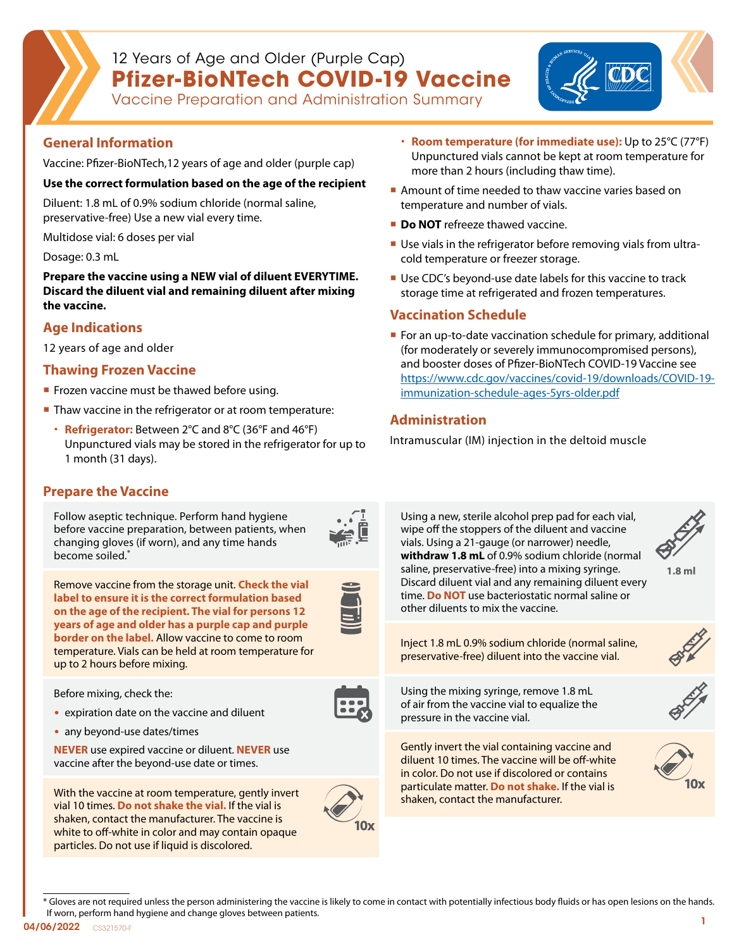# 12 Years of Age and Older (Purple Cap) **Pfizer-BioNTech COVID-19 Vaccine**



Vaccine Preparation and Administration Summary

### **General Information**

Vaccine: Pfizer-BioNTech,12 years of age and older (purple cap)

#### **Use the correct formulation based on the age of the recipient**

Diluent: 1.8 mL of 0.9% sodium chloride (normal saline, preservative-free) Use a new vial every time.

Multidose vial: 6 doses per vial

Dosage: 0.3 mL

**Prepare the vaccine using a NEW vial of diluent EVERYTIME. Discard the diluent vial and remaining diluent after mixing the vaccine.** 

### **Age Indications**

12 years of age and older

#### **Thawing Frozen Vaccine**

- **Frozen vaccine must be thawed before using.**
- Thaw vaccine in the refrigerator or at room temperature:
	- **Refrigerator:** Between 2°C and 8°C (36°F and 46°F) Unpunctured vials may be stored in the refrigerator for up to 1 month (31 days).
- **Room temperature (for immediate use):** Up to 25°C (77°F) Unpunctured vials cannot be kept at room temperature for more than 2 hours (including thaw time).
- Amount of time needed to thaw vaccine varies based on temperature and number of vials.
- **Do NOT** refreeze thawed vaccine.
- Use vials in the refrigerator before removing vials from ultracold temperature or freezer storage.
- Use CDC's beyond-use date labels for this vaccine to track storage time at refrigerated and frozen temperatures.

#### **Vaccination Schedule**

**For an up-to-date vaccination schedule for primary, additional** (for moderately or severely immunocompromised persons), and booster doses of Pfizer-BioNTech COVID-19 Vaccine see [https://www.cdc.gov/vaccines/covid-19/downloads/COVID-19](https://www.cdc.gov/vaccines/covid-19/downloads/COVID-19-immunization-schedule-ages-5yrs-older.pdf) [immunization-schedule-ages-5yrs-older.pdf](https://www.cdc.gov/vaccines/covid-19/downloads/COVID-19-immunization-schedule-ages-5yrs-older.pdf)

## **Administration**

Intramuscular (IM) injection in the deltoid muscle



\* Gloves are not required unless the person administering the vaccine is likely to come in contact with potentially infectious body fluids or has open lesions on the hands. If worn, perform hand hygiene and change gloves between patients.

04/06/2022 CS321570-F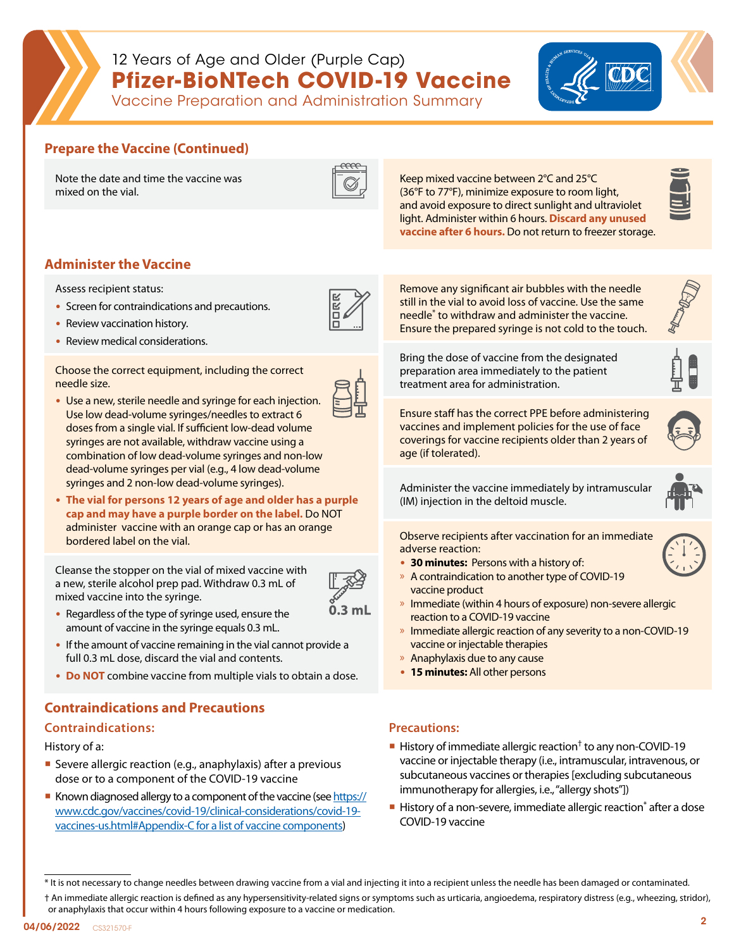

# 12 Years of Age and Older (Purple Cap) **Pfizer-BioNTech COVID-19 Vaccine**



## Vaccine Preparation and Administration Summary

## **Prepare the Vaccine (Continued)**

Note the date and time the vaccine was mixed on the vial.



Keep mixed vaccine between 2°C and 25°C (36°F to 77°F), minimize exposure to room light, and avoid exposure to direct sunlight and ultraviolet light. Administer within 6 hours. **Discard any unused vaccine after 6 hours.** Do not return to freezer storage.

| - |
|---|
| ٠ |
|   |
|   |

## **Administer the Vaccine**

Assess recipient status:

- Screen for contraindications and precautions.
- Review vaccination history.
- Review medical considerations.

Choose the correct equipment, including the correct needle size.

- Use a new, sterile needle and syringe for each injection. Use low dead-volume syringes/needles to extract 6 doses from a single vial. If sufficient low-dead volume syringes are not available, withdraw vaccine using a combination of low dead-volume syringes and non-low dead-volume syringes per vial (e.g., 4 low dead-volume syringes and 2 non-low dead-volume syringes).
- **The vial for persons 12 years of age and older has a purple cap and may have a purple border on the label.** Do NOT administer vaccine with an orange cap or has an orange bordered label on the vial.

Cleanse the stopper on the vial of mixed vaccine with a new, sterile alcohol prep pad. Withdraw 0.3 mL of mixed vaccine into the syringe.



- Regardless of the type of syringe used, ensure the amount of vaccine in the syringe equals 0.3 mL.
- If the amount of vaccine remaining in the vial cannot provide a full 0.3 mL dose, discard the vial and contents.
- **Do NOT** combine vaccine from multiple vials to obtain a dose.

## **Contraindications and Precautions**

#### **Contraindications:**

History of a:

- Severe allergic reaction (e.g., anaphylaxis) after a previous dose or to a component of the COVID-19 vaccine
- Known diagnosed allergy to a component of the vaccine (see [https://](https://www.cdc.gov/vaccines/covid-19/clinical-considerations/covid-19-vaccines-us.html#Appendix-C f) [www.cdc.gov/vaccines/covid-19/clinical-considerations/covid-19](https://www.cdc.gov/vaccines/covid-19/clinical-considerations/covid-19-vaccines-us.html#Appendix-C f) [vaccines-us.html#Appendix-C for a list of vaccine components\)](https://www.cdc.gov/vaccines/covid-19/clinical-considerations/covid-19-vaccines-us.html#Appendix-C f)

Remove any significant air bubbles with the needle still in the vial to avoid loss of vaccine. Use the same needle\* to withdraw and administer the vaccine. Ensure the prepared syringe is not cold to the touch.

Bring the dose of vaccine from the designated preparation area immediately to the patient treatment area for administration.



Ensure staff has the correct PPE before administering vaccines and implement policies for the use of face coverings for vaccine recipients older than 2 years of age (if tolerated).

Administer the vaccine immediately by intramuscular (IM) injection in the deltoid muscle.



Observe recipients after vaccination for an immediate adverse reaction:

- **30 minutes:** Persons with a history of:
- » A contraindication to another type of COVID-19 vaccine product
- » Immediate (within 4 hours of exposure) non-severe allergic reaction to a COVID-19 vaccine
- » Immediate allergic reaction of any severity to a non-COVID-19 vaccine or injectable therapies
- » Anaphylaxis due to any cause
- **15 minutes:** All other persons

#### **Precautions:**

- History of immediate allergic reaction<sup>†</sup> to any non-COVID-19 vaccine or injectable therapy (i.e., intramuscular, intravenous, or subcutaneous vaccines or therapies [excluding subcutaneous immunotherapy for allergies, i.e., "allergy shots"])
- History of a non-severe, immediate allergic reaction<sup>\*</sup> after a dose COVID-19 vaccine

† An immediate allergic reaction is defined as any hypersensitivity-related signs or symptoms such as urticaria, angioedema, respiratory distress (e.g., wheezing, stridor), or anaphylaxis that occur within 4 hours following exposure to a vaccine or medication.

<sup>\*</sup> It is not necessary to change needles between drawing vaccine from a vial and injecting it into a recipient unless the needle has been damaged or contaminated.